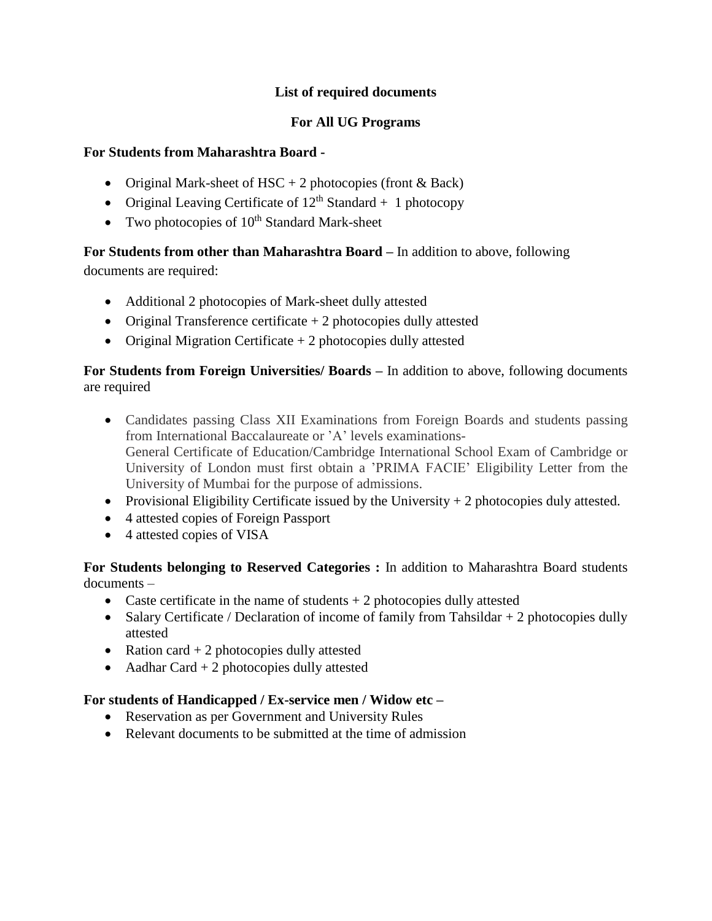## **List of required documents**

## **For All UG Programs**

#### **For Students from Maharashtra Board -**

- Original Mark-sheet of HSC + 2 photocopies (front  $&$  Back)
- Original Leaving Certificate of  $12<sup>th</sup>$  Standard + 1 photocopy
- Two photocopies of  $10^{th}$  Standard Mark-sheet

**For Students from other than Maharashtra Board –** In addition to above, following

documents are required:

- Additional 2 photocopies of Mark-sheet dully attested
- Original Transference certificate  $+ 2$  photocopies dully attested
- Original Migration Certificate  $+ 2$  photocopies dully attested

**For Students from Foreign Universities/ Boards –** In addition to above, following documents are required

- Candidates passing Class XII Examinations from Foreign Boards and students passing from International Baccalaureate or 'A' levels examinations-General Certificate of Education/Cambridge International School Exam of Cambridge or University of London must first obtain a 'PRIMA FACIE' Eligibility Letter from the University of Mumbai for the purpose of admissions.
- Provisional Eligibility Certificate issued by the University  $+2$  photocopies duly attested.
- 4 attested copies of Foreign Passport
- 4 attested copies of VISA

**For Students belonging to Reserved Categories :** In addition to Maharashtra Board students documents –

- Caste certificate in the name of students  $+ 2$  photocopies dully attested
- Salary Certificate / Declaration of income of family from Tahsildar + 2 photocopies dully attested
- Ration card  $+ 2$  photocopies dully attested
- Aadhar Card  $+ 2$  photocopies dully attested

# **For students of Handicapped / Ex-service men / Widow etc –**

- Reservation as per Government and University Rules
- Relevant documents to be submitted at the time of admission